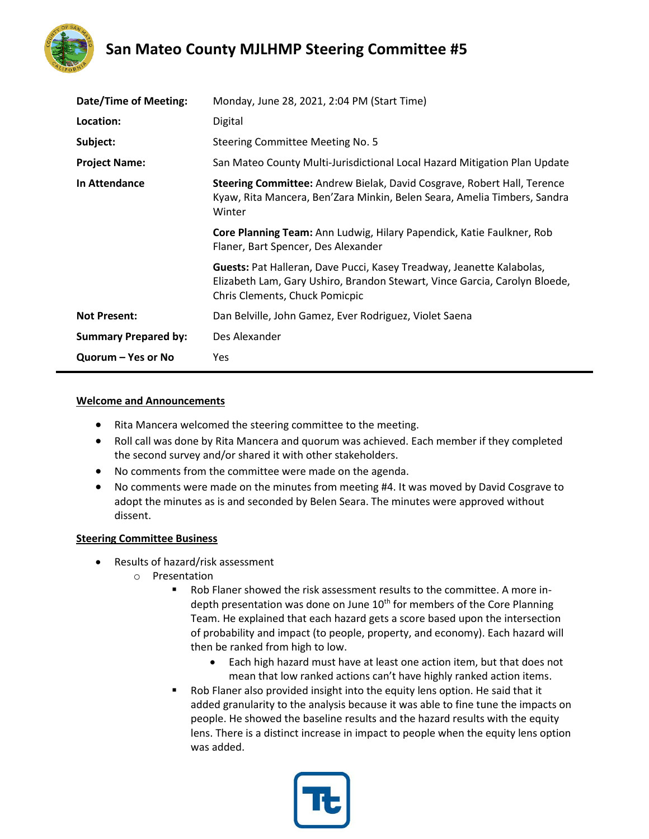

## **San Mateo County MJLHMP Steering Committee #5**

| Date/Time of Meeting:       | Monday, June 28, 2021, 2:04 PM (Start Time)                                                                                                                                           |
|-----------------------------|---------------------------------------------------------------------------------------------------------------------------------------------------------------------------------------|
| Location:                   | Digital                                                                                                                                                                               |
| Subject:                    | Steering Committee Meeting No. 5                                                                                                                                                      |
| <b>Project Name:</b>        | San Mateo County Multi-Jurisdictional Local Hazard Mitigation Plan Update                                                                                                             |
| In Attendance               | Steering Committee: Andrew Bielak, David Cosgrave, Robert Hall, Terence<br>Kyaw, Rita Mancera, Ben'Zara Minkin, Belen Seara, Amelia Timbers, Sandra<br>Winter                         |
|                             | Core Planning Team: Ann Ludwig, Hilary Papendick, Katie Faulkner, Rob<br>Flaner, Bart Spencer, Des Alexander                                                                          |
|                             | Guests: Pat Halleran, Dave Pucci, Kasey Treadway, Jeanette Kalabolas,<br>Elizabeth Lam, Gary Ushiro, Brandon Stewart, Vince Garcia, Carolyn Bloede,<br>Chris Clements, Chuck Pomicpic |
| <b>Not Present:</b>         | Dan Belville, John Gamez, Ever Rodriguez, Violet Saena                                                                                                                                |
| <b>Summary Prepared by:</b> | Des Alexander                                                                                                                                                                         |
| Quorum – Yes or No          | Yes                                                                                                                                                                                   |

#### **Welcome and Announcements**

- Rita Mancera welcomed the steering committee to the meeting.
- Roll call was done by Rita Mancera and quorum was achieved. Each member if they completed the second survey and/or shared it with other stakeholders.
- No comments from the committee were made on the agenda.
- No comments were made on the minutes from meeting #4. It was moved by David Cosgrave to adopt the minutes as is and seconded by Belen Seara. The minutes were approved without dissent.

#### **Steering Committee Business**

- Results of hazard/risk assessment
	- o Presentation
		- Rob Flaner showed the risk assessment results to the committee. A more indepth presentation was done on June  $10<sup>th</sup>$  for members of the Core Planning Team. He explained that each hazard gets a score based upon the intersection of probability and impact (to people, property, and economy). Each hazard will then be ranked from high to low.
			- Each high hazard must have at least one action item, but that does not mean that low ranked actions can't have highly ranked action items.
		- Rob Flaner also provided insight into the equity lens option. He said that it added granularity to the analysis because it was able to fine tune the impacts on people. He showed the baseline results and the hazard results with the equity lens. There is a distinct increase in impact to people when the equity lens option was added.

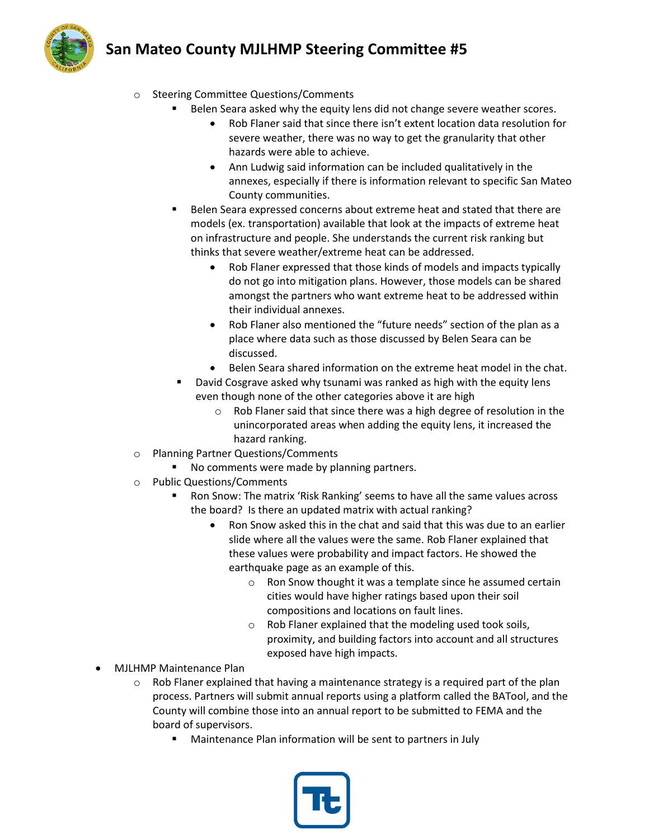# **San Mateo County MJLHMP Steering Committee #5**



- o Steering Committee Questions/Comments
	- Belen Seara asked why the equity lens did not change severe weather scores.
		- Rob Flaner said that since there isn't extent location data resolution for severe weather, there was no way to get the granularity that other hazards were able to achieve.
		- Ann Ludwig said information can be included qualitatively in the annexes, especially if there is information relevant to specific San Mateo County communities.
	- Belen Seara expressed concerns about extreme heat and stated that there are models (ex. transportation) available that look at the impacts of extreme heat on infrastructure and people. She understands the current risk ranking but thinks that severe weather/extreme heat can be addressed.
		- Rob Flaner expressed that those kinds of models and impacts typically do not go into mitigation plans. However, those models can be shared amongst the partners who want extreme heat to be addressed within their individual annexes.
		- Rob Flaner also mentioned the "future needs" section of the plan as a place where data such as those discussed by Belen Seara can be discussed.
		- Belen Seara shared information on the extreme heat model in the chat.
	- David Cosgrave asked why tsunami was ranked as high with the equity lens even though none of the other categories above it are high
		- o Rob Flaner said that since there was a high degree of resolution in the unincorporated areas when adding the equity lens, it increased the hazard ranking.
- o Planning Partner Questions/Comments
	- No comments were made by planning partners.
- o Public Questions/Comments
	- Ron Snow: The matrix 'Risk Ranking' seems to have all the same values across the board? Is there an updated matrix with actual ranking?
		- Ron Snow asked this in the chat and said that this was due to an earlier slide where all the values were the same. Rob Flaner explained that these values were probability and impact factors. He showed the earthquake page as an example of this.
			- o Ron Snow thought it was a template since he assumed certain cities would have higher ratings based upon their soil compositions and locations on fault lines.
			- o Rob Flaner explained that the modeling used took soils, proximity, and building factors into account and all structures exposed have high impacts.
- MJLHMP Maintenance Plan
	- $\circ$  Rob Flaner explained that having a maintenance strategy is a required part of the plan process. Partners will submit annual reports using a platform called the BATool, and the County will combine those into an annual report to be submitted to FEMA and the board of supervisors.
		- Maintenance Plan information will be sent to partners in July

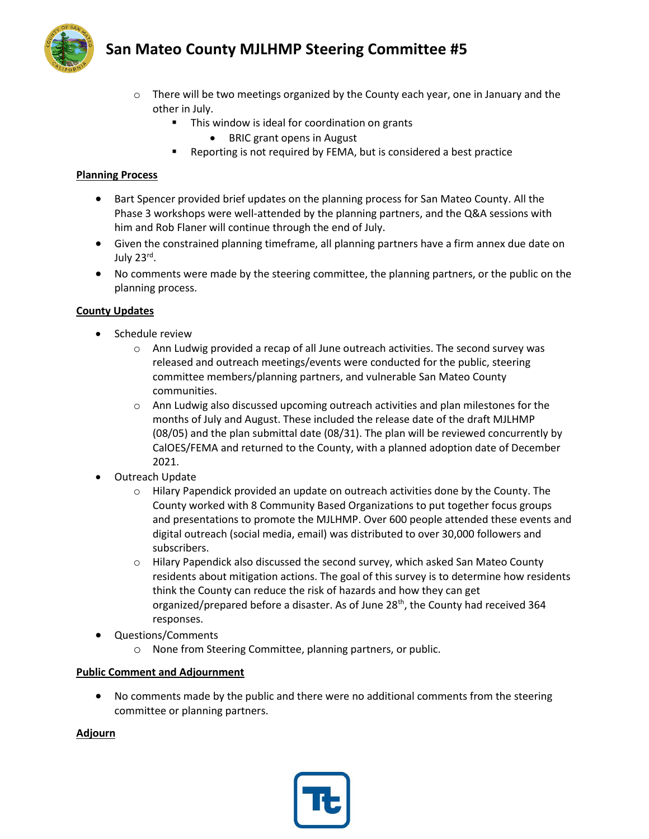



- $\circ$  There will be two meetings organized by the County each year, one in January and the other in July.
	- This window is ideal for coordination on grants
		- BRIC grant opens in August
	- Reporting is not required by FEMA, but is considered a best practice

#### **Planning Process**

- Bart Spencer provided brief updates on the planning process for San Mateo County. All the Phase 3 workshops were well-attended by the planning partners, and the Q&A sessions with him and Rob Flaner will continue through the end of July.
- Given the constrained planning timeframe, all planning partners have a firm annex due date on July 23rd.
- No comments were made by the steering committee, the planning partners, or the public on the planning process.

## **County Updates**

- Schedule review
	- $\circ$  Ann Ludwig provided a recap of all June outreach activities. The second survey was released and outreach meetings/events were conducted for the public, steering committee members/planning partners, and vulnerable San Mateo County communities.
	- o Ann Ludwig also discussed upcoming outreach activities and plan milestones for the months of July and August. These included the release date of the draft MJLHMP (08/05) and the plan submittal date (08/31). The plan will be reviewed concurrently by CalOES/FEMA and returned to the County, with a planned adoption date of December 2021.
- Outreach Update
	- $\circ$  Hilary Papendick provided an update on outreach activities done by the County. The County worked with 8 Community Based Organizations to put together focus groups and presentations to promote the MJLHMP. Over 600 people attended these events and digital outreach (social media, email) was distributed to over 30,000 followers and subscribers.
	- $\circ$  Hilary Papendick also discussed the second survey, which asked San Mateo County residents about mitigation actions. The goal of this survey is to determine how residents think the County can reduce the risk of hazards and how they can get organized/prepared before a disaster. As of June 28<sup>th</sup>, the County had received 364 responses.
- Questions/Comments
	- o None from Steering Committee, planning partners, or public.

## **Public Comment and Adjournment**

• No comments made by the public and there were no additional comments from the steering committee or planning partners.

#### **Adjourn**